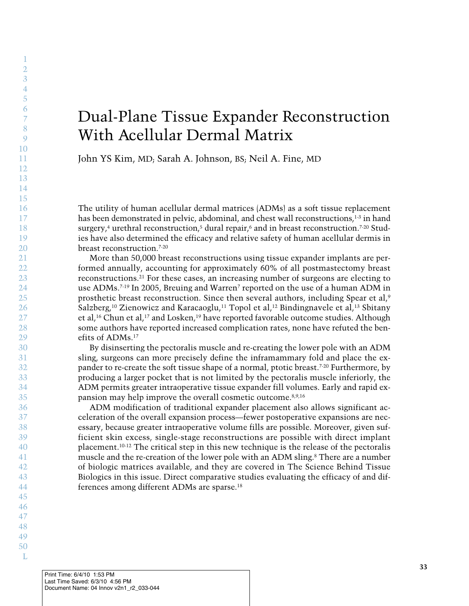# Dual-Plane Tissue Expander Reconstruction With Acellular Dermal Matrix

John YS Kim, MD; Sarah A. Johnson, BS; Neil A. Fine, MD

The utility of human acellular dermal matrices (ADMs) as a soft tissue replacement has been demonstrated in pelvic, abdominal, and chest wall reconstructions. $^{1\cdot3}$  in hand surgery,<sup>4</sup> urethral reconstruction,<sup>5</sup> dural repair,<sup>6</sup> and in breast reconstruction,<sup>7-20</sup> Studies have also determined the efficacy and relative safety of human acellular dermis in breast reconstruction. 7-20

More than 50,000 breast reconstructions using tissue expander implants are performed annually, accounting for approximately 60% of all postmastectomy breast reconstructions. <sup>21</sup> For these cases, an increasing number of surgeons are electing to use ADMs. 7-19 In 2005, Breuing and Warren7 reported on the use of a human ADM in prosthetic breast reconstruction. Since then several authors, including Spear et al, 9 Salzberg,<sup>10</sup> Zienowicz and Karacaoglu,<sup>11</sup> Topol et al.<sup>12</sup> Bindingnayele et al.<sup>13</sup> Sbitany et al.<sup>16</sup> Chun et al.<sup>17</sup> and Losken.<sup>19</sup> have reported favorable outcome studies. Although some authors have reported increased complication rates, none have refuted the benefits of ADMs. 17

By disinserting the pectoralis muscle and re-creating the lower pole with an ADM sling, surgeons can more precisely define the inframammary fold and place the expander to re-create the soft tissue shape of a normal, ptotic breast.<sup>7-20</sup> Furthermore, by producing a larger pocket that is not limited by the pectoralis muscle inferiorly, the ADM permits greater intraoperative tissue expander fill volumes. Early and rapid expansion may help improve the overall cosmetic outcome. 8,9,16

ADM modification of traditional expander placement also allows significant acceleration of the overall expansion process—fewer postoperative expansions are necessary, because greater intraoperative volume fills are possible. Moreover, given sufficient skin excess, single-stage reconstructions are possible with direct implant placement. 10-12 The critical step in this new technique is the release of the pectoralis muscle and the re-creation of the lower pole with an ADM sling. <sup>8</sup> There are a number of biologic matrices available, and they are covered in The Science Behind Tissue Biologics in this issue. Direct comparative studies evaluating the efficacy of and differences among different ADMs are sparse. 18

1  $\overline{2}$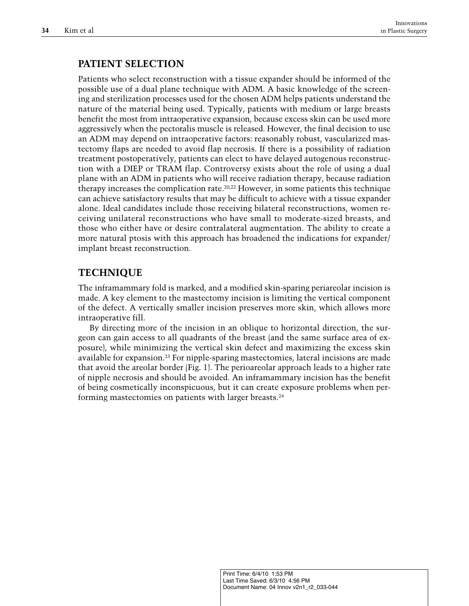## **PATIENT SELECTION**

Patients who select reconstruction with a tissue expander should be informed of the possible use of a dual plane technique with ADM. A basic knowledge of the screening and sterilization processes used for the chosen ADM helps patients understand the nature of the material being used. Typically, patients with medium or large breasts benefit the most from intraoperative expansion, because excess skin can be used more aggressively when the pectoralis muscle is released. However, the final decision to use an ADM may depend on intraoperative factors: reasonably robust, vascularized mastectomy flaps are needed to avoid flap necrosis. If there is a possibility of radiation treatment postoperatively, patients can elect to have delayed autogenous reconstruction with a DIEP or TRAM flap. Controversy exists about the role of using a dual plane with an ADM in patients who will receive radiation therapy, because radiation therapy increases the complication rate.<sup>20,22</sup> However, in some patients this technique can achieve satisfactory results that may be difficult to achieve with a tissue expander alone. Ideal candidates include those receiving bilateral reconstructions, women receiving unilateral reconstructions who have small to moderate-sized breasts, and those who either have or desire contralateral augmentation. The ability to create a more natural ptosis with this approach has broadened the indications for expander/ implant breast reconstruction.

## **TECHNIQUE**

The inframammary fold is marked, and a modified skin-sparing periareolar incision is made. A key element to the mastectomy incision is limiting the vertical component of the defect. A vertically smaller incision preserves more skin, which allows more intraoperative fill.

By directing more of the incision in an oblique to horizontal direction, the surgeon can gain access to all quadrants of the breast (and the same surface area of exposure), while minimizing the vertical skin defect and maximizing the excess skin available for expansion. <sup>23</sup> For nipple-sparing mastectomies, lateral incisions are made that avoid the areolar border (Fig. 1). The perioareolar approach leads to a higher rate of nipple necrosis and should be avoided. An inframammary incision has the benefit of being cosmetically inconspicuous, but it can create exposure problems when performing mastectomies on patients with larger breasts.<sup>24</sup>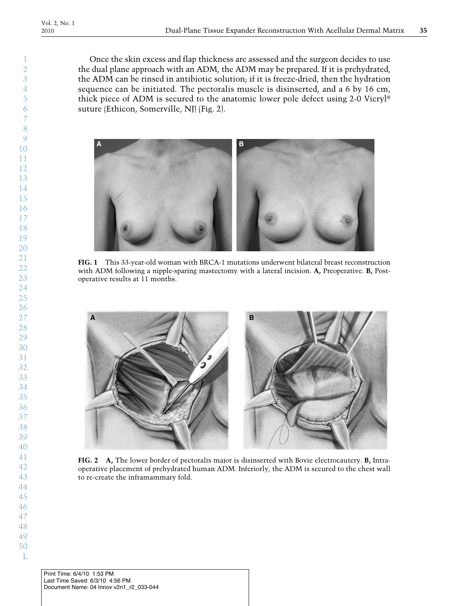Once the skin excess and flap thickness are assessed and the surgeon decides to use the dual plane approach with an ADM, the ADM may be prepared. If it is prehydrated, the ADM can be rinsed in antibiotic solution; if it is freeze-dried, then the hydration sequence can be initiated. The pectoralis muscle is disinserted, and a 6 by 16 cm, thick piece of ADM is secured to the anatomic lower pole defect using 2-0 Vicryl® suture (Ethicon, Somerville, NJ) (Fig. 2).



**FIG. 1** This 33-year-old woman with BRCA-1 mutations underwent bilateral breast reconstruction with ADM following a nipple-sparing mastectomy with a lateral incision. **A,** Preoperative. **B,** Postoperative results at 11 months.



**FIG. 2 A,** The lower border of pectoralis major is disinserted with Bovie electrocautery. **B,** Intraoperative placement of prehydrated human ADM. Inferiorly, the ADM is secured to the chest wall to re-create the inframammary fold.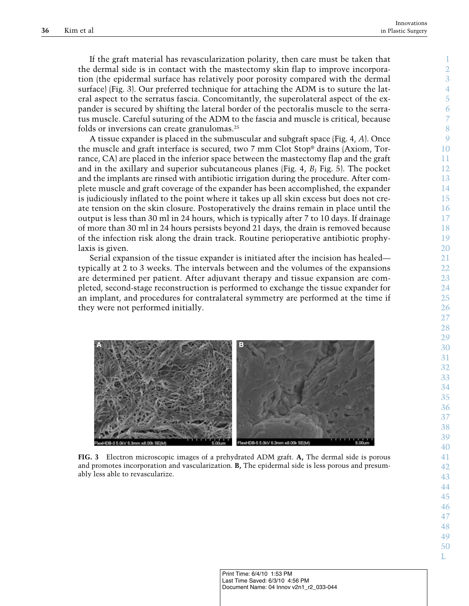If the graft material has revascularization polarity, then care must be taken that the dermal side is in contact with the mastectomy skin flap to improve incorporation (the epidermal surface has relatively poor porosity compared with the dermal surface) (Fig. 3). Our preferred technique for attaching the ADM is to suture the lateral aspect to the serratus fascia. Concomitantly, the superolateral aspect of the expander is secured by shifting the lateral border of the pectoralis muscle to the serratus muscle. Careful suturing of the ADM to the fascia and muscle is critical, because folds or inversions can create granulomas. 25

A tissue expander is placed in the submuscular and subgraft space (Fig. 4, *A*). Once the muscle and graft interface is secured, two 7 mm Clot Stop® drains (Axiom, Torrance, CA) are placed in the inferior space between the mastectomy flap and the graft and in the axillary and superior subcutaneous planes (Fig. 4, *B*; Fig. 5). The pocket and the implants are rinsed with antibiotic irrigation during the procedure. After complete muscle and graft coverage of the expander has been accomplished, the expander is judiciously inflated to the point where it takes up all skin excess but does not create tension on the skin closure. Postoperatively the drains remain in place until the output is less than 30 ml in 24 hours, which is typically after 7 to 10 days. If drainage of more than 30 ml in 24 hours persists beyond 21 days, the drain is removed because of the infection risk along the drain track. Routine perioperative antibiotic prophylaxis is given.

Serial expansion of the tissue expander is initiated after the incision has healed typically at 2 to 3 weeks. The intervals between and the volumes of the expansions are determined per patient. After adjuvant therapy and tissue expansion are completed, second-stage reconstruction is performed to exchange the tissue expander for an implant, and procedures for contralateral symmetry are performed at the time if they were not performed initially.



**FIG. 3** Electron microscopic images of a prehydrated ADM graft. **A,** The dermal side is porous and promotes incorporation and vascularization. **B,** The epidermal side is less porous and presumably less able to revascularize.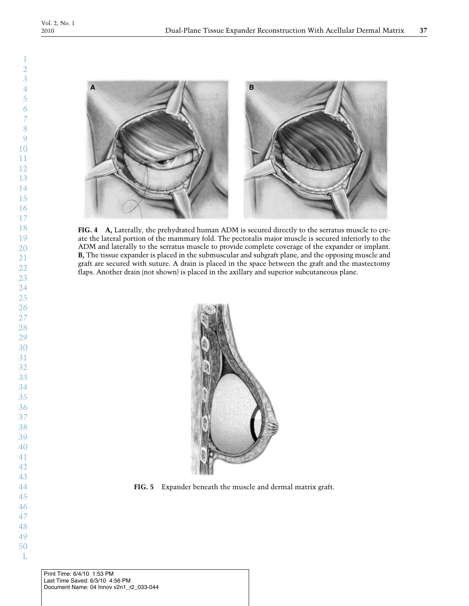

**FIG. 4 A,** Laterally, the prehydrated human ADM is secured directly to the serratus muscle to create the lateral portion of the mammary fold. The pectoralis major muscle is secured inferiorly to the ADM and laterally to the serratus muscle to provide complete coverage of the expander or implant. **B,** The tissue expander is placed in the submuscular and subgraft plane, and the opposing muscle and graft are secured with suture. A drain is placed in the space between the graft and the mastectomy flaps. Another drain (not shown) is placed in the axillary and superior subcutaneous plane.



**FIG. 5** Expander beneath the muscle and dermal matrix graft.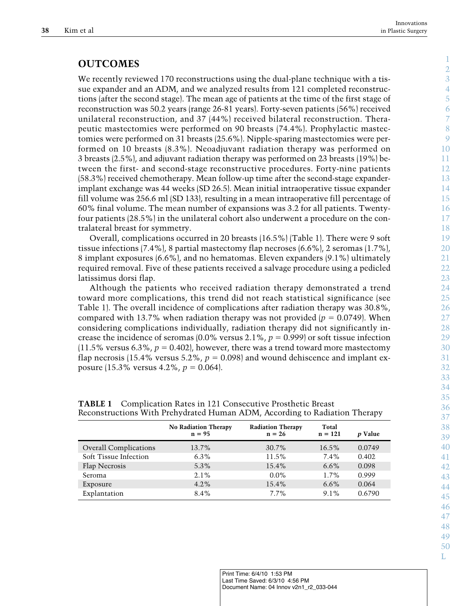## **OUTCOMES**

We recently reviewed 170 reconstructions using the dual-plane technique with a tissue expander and an ADM, and we analyzed results from 121 completed reconstructions (after the second stage). The mean age of patients at the time of the first stage of reconstruction was 50.2 years (range 26-81 years). Forty-seven patients (56%) received unilateral reconstruction, and 37 (44%) received bilateral reconstruction. Therapeutic mastectomies were performed on 90 breasts (74.4%). Prophylactic mastectomies were performed on 31 breasts (25.6%). Nipple-sparing mastectomies were performed on 10 breasts (8.3%). Neoadjuvant radiation therapy was performed on 3 breasts (2.5%), and adjuvant radiation therapy was performed on 23 breasts (19%) between the first- and second-stage reconstructive procedures. Forty-nine patients (58.3%) received chemotherapy. Mean follow-up time after the second-stage expanderimplant exchange was 44 weeks (SD 26.5). Mean initial intraoperative tissue expander fill volume was 256.6 ml (SD 133), resulting in a mean intraoperative fill percentage of 60% final volume. The mean number of expansions was 3.2 for all patients. Twentyfour patients (28.5%) in the unilateral cohort also underwent a procedure on the contralateral breast for symmetry.

Overall, complications occurred in 20 breasts (16.5%) (Table 1). There were 9 soft tissue infections (7.4%), 8 partial mastectomy flap necroses (6.6%), 2 seromas (1.7%), 8 implant exposures (6.6%), and no hematomas. Eleven expanders (9.1%) ultimately required removal. Five of these patients received a salvage procedure using a pedicled latissimus dorsi flap.

Although the patients who received radiation therapy demonstrated a trend toward more complications, this trend did not reach statistical significance (see Table 1). The overall incidence of complications after radiation therapy was 30.8%, compared with 13.7% when radiation therapy was not provided  $(p = 0.0749)$ . When considering complications individually, radiation therapy did not significantly increase the incidence of seromas  $(0.0\%$  versus  $2.1\%$ ,  $p = 0.999$  or soft tissue infection  $(11.5\%$  versus  $6.3\%, p = 0.402$ , however, there was a trend toward more mastectomy flap necrosis (15.4% versus 5.2%,  $p = 0.098$ ) and wound dehiscence and implant exposure  $(15.3\% \text{ versus } 4.2\%, p = 0.064)$ .

|                              | <b>No Radiation Therapy</b><br>$n = 95$ | <b>Radiation Therapy</b><br>$n = 26$ | Total<br>$n = 121$ | <i>p</i> Value |
|------------------------------|-----------------------------------------|--------------------------------------|--------------------|----------------|
| <b>Overall Complications</b> | 13.7%                                   | $30.7\%$                             | $16.5\%$           | 0.0749         |
| Soft Tissue Infection        | $6.3\%$                                 | $11.5\%$                             | 7.4%               | 0.402          |
| Flap Necrosis                | 5.3%                                    | 15.4%                                | $6.6\%$            | 0.098          |
| Seroma                       | $2.1\%$                                 | $0.0\%$                              | $1.7\%$            | 0.999          |
| Exposure                     | $4.2\%$                                 | 15.4%                                | $6.6\%$            | 0.064          |
| Explantation                 | 8.4%                                    | $7.7\%$                              | $9.1\%$            | 0.6790         |

**TABLE 1** Complication Rates in 121 Consecutive Prosthetic Breast Reconstructions With Prehydrated Human ADM, According to Radiation Therapy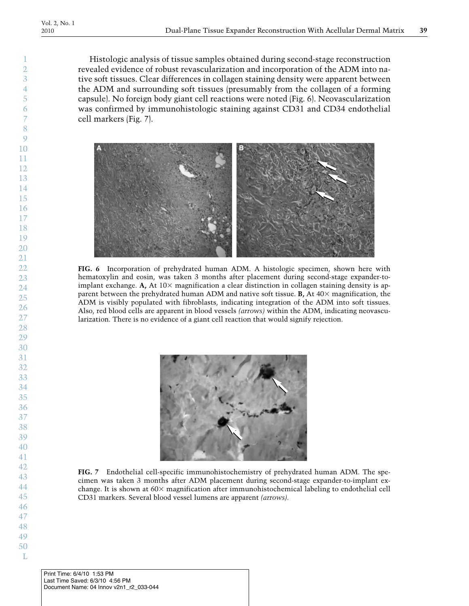Histologic analysis of tissue samples obtained during second-stage reconstruction revealed evidence of robust revascularization and incorporation of the ADM into native soft tissues. Clear differences in collagen staining density were apparent between the ADM and surrounding soft tissues (presumably from the collagen of a forming capsule). No foreign body giant cell reactions were noted (Fig. 6). Neovascularization was confirmed by immunohistologic staining against CD31 and CD34 endothelial cell markers (Fig. 7).



**FIG. 6** Incorporation of prehydrated human ADM. A histologic specimen, shown here with hematoxylin and eosin, was taken 3 months after placement during second-stage expander-toimplant exchange. A, At  $10\times$  magnification a clear distinction in collagen staining density is apparent between the prehydrated human ADM and native soft tissue. **B**, At  $40\times$  magnification, the ADM is visibly populated with fibroblasts, indicating integration of the ADM into soft tissues. Also, red blood cells are apparent in blood vessels *(arrows)* within the ADM, indicating neovascularization. There is no evidence of a giant cell reaction that would signify rejection.



**FIG. 7** Endothelial cell-specific immunohistochemistry of prehydrated human ADM. The specimen was taken 3 months after ADM placement during second-stage expander-to-implant exchange. It is shown at  $60 \times$  magnification after immunohistochemical labeling to endothelial cell CD31 markers. Several blood vessel lumens are apparent *(arrows).*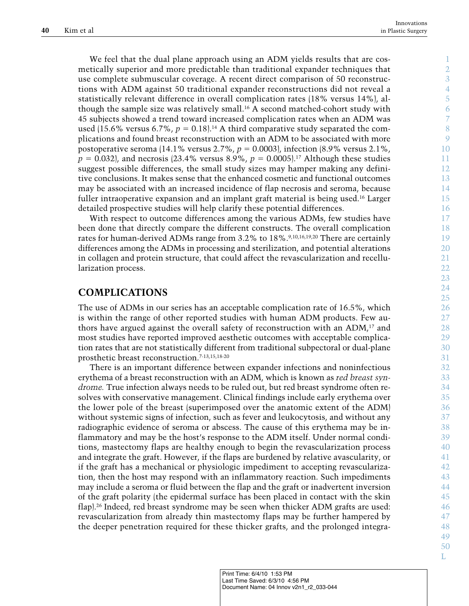We feel that the dual plane approach using an ADM yields results that are cosmetically superior and more predictable than traditional expander techniques that use complete submuscular coverage. A recent direct comparison of 50 reconstructions with ADM against 50 traditional expander reconstructions did not reveal a statistically relevant difference in overall complication rates (18% versus 14%), although the sample size was relatively small. <sup>16</sup> A second matched-cohort study with 45 subjects showed a trend toward increased complication rates when an ADM was used (15.6% versus 6.7%,  $p = 0.18$ ).<sup>14</sup> A third comparative study separated the complications and found breast reconstruction with an ADM to be associated with more postoperative seroma (14.1% versus 2.7%,  $p = 0.0003$ ), infection (8.9% versus 2.1%,  $p = 0.032$ , and necrosis (23.4% versus 8.9%,  $p = 0.0005$ ).<sup>17</sup> Although these studies suggest possible differences, the small study sizes may hamper making any definitive conclusions. It makes sense that the enhanced cosmetic and functional outcomes may be associated with an increased incidence of flap necrosis and seroma, because fuller intraoperative expansion and an implant graft material is being used. <sup>16</sup> Larger detailed prospective studies will help clarify these potential differences.

With respect to outcome differences among the various ADMs, few studies have been done that directly compare the different constructs. The overall complication rates for human-derived ADMs range from 3.2% to 18%. 9,10,16,19,20 There are certainly differences among the ADMs in processing and sterilization, and potential alterations in collagen and protein structure, that could affect the revascularization and recellularization process.

#### **COMPLICATIONS**

The use of ADMs in our series has an acceptable complication rate of 16.5%, which is within the range of other reported studies with human ADM products. Few authors have argued against the overall safety of reconstruction with an ADM, <sup>17</sup> and most studies have reported improved aesthetic outcomes with acceptable complication rates that are not statistically different from traditional subpectoral or dual-plane prosthetic breast reconstruction. 7-13,15,18-20

There is an important difference between expander infections and noninfectious erythema of a breast reconstruction with an ADM, which is known as *red breast syndrome.* True infection always needs to be ruled out, but red breast syndrome often resolves with conservative management. Clinical findings include early erythema over the lower pole of the breast (superimposed over the anatomic extent of the ADM) without systemic signs of infection, such as fever and leukocytosis, and without any radiographic evidence of seroma or abscess. The cause of this erythema may be inflammatory and may be the host's response to the ADM itself. Under normal conditions, mastectomy flaps are healthy enough to begin the revascularization process and integrate the graft. However, if the flaps are burdened by relative avascularity, or if the graft has a mechanical or physiologic impediment to accepting revascularization, then the host may respond with an inflammatory reaction. Such impediments may include a seroma or fluid between the flap and the graft or inadvertent inversion of the graft polarity (the epidermal surface has been placed in contact with the skin flap). <sup>26</sup> Indeed, red breast syndrome may be seen when thicker ADM grafts are used: revascularization from already thin mastectomy flaps may be further hampered by the deeper penetration required for these thicker grafts, and the prolonged integra-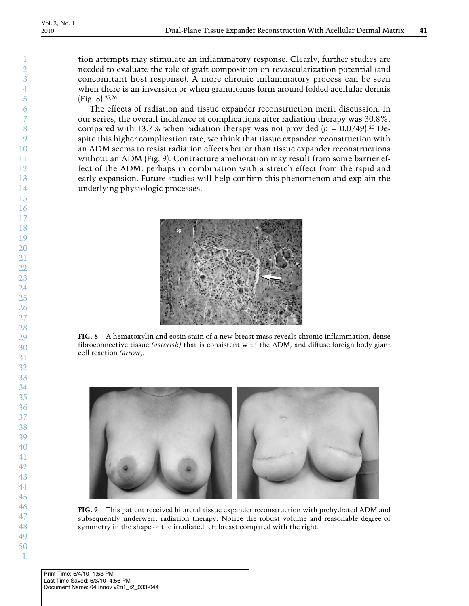tion attempts may stimulate an inflammatory response. Clearly, further studies are needed to evaluate the role of graft composition on revascularization potential (and concomitant host response). A more chronic inflammatory process can be seen when there is an inversion or when granulomas form around folded acellular dermis (Fig. 8). 25,26

The effects of radiation and tissue expander reconstruction merit discussion. In our series, the overall incidence of complications after radiation therapy was 30.8%, compared with 13.7% when radiation therapy was not provided  $(p = 0.0749)^{20}$  Despite this higher complication rate, we think that tissue expander reconstruction with an ADM seems to resist radiation effects better than tissue expander reconstructions without an ADM (Fig. 9). Contracture amelioration may result from some barrier effect of the ADM, perhaps in combination with a stretch effect from the rapid and early expansion. Future studies will help confirm this phenomenon and explain the underlying physiologic processes.



**FIG. 8** A hematoxylin and eosin stain of a new breast mass reveals chronic inflammation, dense fibroconnective tissue *(asterisk)* that is consistent with the ADM, and diffuse foreign body giant cell reaction *(arrow).*



**FIG. 9** This patient received bilateral tissue expander reconstruction with prehydrated ADM and subsequently underwent radiation therapy. Notice the robust volume and reasonable degree of symmetry in the shape of the irradiated left breast compared with the right.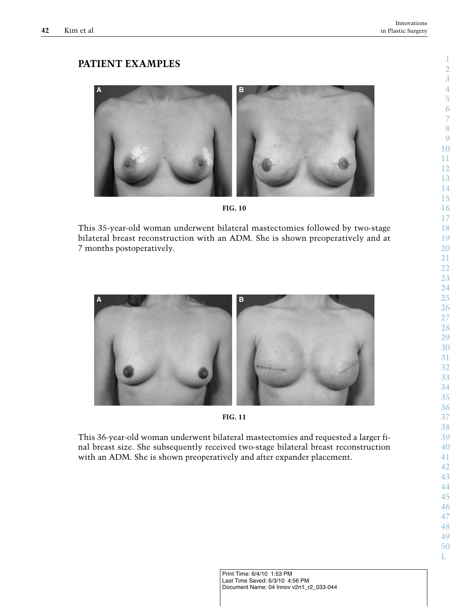# **PATIENT EXAMPLES**



**FIG. 10**

This 35-year-old woman underwent bilateral mastectomies followed by two-stage bilateral breast reconstruction with an ADM. She is shown preoperatively and at months postoperatively.





This 36-year-old woman underwent bilateral mastectomies and requested a larger final breast size. She subsequently received two-stage bilateral breast reconstruction with an ADM. She is shown preoperatively and after expander placement.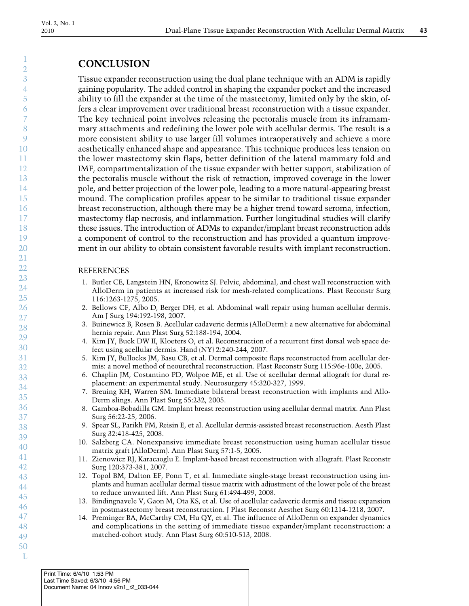## **CONCLUSION**

Tissue expander reconstruction using the dual plane technique with an ADM is rapidly gaining popularity. The added control in shaping the expander pocket and the increased ability to fill the expander at the time of the mastectomy, limited only by the skin, offers a clear improvement over traditional breast reconstruction with a tissue expander. The key technical point involves releasing the pectoralis muscle from its inframammary attachments and redefining the lower pole with acellular dermis. The result is a more consistent ability to use larger fill volumes intraoperatively and achieve a more aesthetically enhanced shape and appearance. This technique produces less tension on the lower mastectomy skin flaps, better definition of the lateral mammary fold and IMF, compartmentalization of the tissue expander with better support, stabilization of the pectoralis muscle without the risk of retraction, improved coverage in the lower pole, and better projection of the lower pole, leading to a more natural-appearing breast mound. The complication profiles appear to be similar to traditional tissue expander breast reconstruction, although there may be a higher trend toward seroma, infection, mastectomy flap necrosis, and inflammation. Further longitudinal studies will clarify these issues. The introduction of ADMs to expander/implant breast reconstruction adds a component of control to the reconstruction and has provided a quantum improvement in our ability to obtain consistent favorable results with implant reconstruction.

#### REFERENCES

- 1. Butler CE, Langstein HN, Kronowitz SJ. Pelvic, abdominal, and chest wall reconstruction with AlloDerm in patients at increased risk for mesh-related complications. Plast Reconstr Surg 116:1263-1275, 2005.
- 2. Bellows CF, Albo D, Berger DH, et al. Abdominal wall repair using human acellular dermis. Am J Surg 194:192-198, 2007.
- 3. Buinewicz B, Rosen B. Acellular cadaveric dermis (AlloDerm): a new alternative for abdominal hernia repair. Ann Plast Surg 52:188-194, 2004.
- 4. Kim JY, Buck DW II, Kloeters O, et al. Reconstruction of a recurrent first dorsal web space defect using acellular dermis. Hand (NY) 2:240-244, 2007.
- 5. Kim JY, Bullocks JM, Basu CB, et al. Dermal composite flaps reconstructed from acellular dermis: a novel method of neourethral reconstruction. Plast Reconstr Surg 115:96e-100e, 2005.
- 6. Chaplin JM, Costantino PD, Wolpoe ME, et al. Use of acellular dermal allograft for dural replacement: an experimental study. Neurosurgery 45:320-327, 1999.
- 7. Breuing KH, Warren SM. Immediate bilateral breast reconstruction with implants and Allo-Derm slings. Ann Plast Surg 55:232, 2005.
- 8. Gamboa-Bobadilla GM. Implant breast reconstruction using acellular dermal matrix. Ann Plast Surg 56:22-25, 2006.
- 9. Spear SL, Parikh PM, Reisin E, et al. Acellular dermis-assisted breast reconstruction. Aesth Plast Surg 32:418-425, 2008.
- 10. Salzberg CA. Nonexpansive immediate breast reconstruction using human acellular tissue matrix graft (AlloDerm). Ann Plast Surg 57:1-5, 2005.
- 11. Zienowicz RJ, Karacaoglu E. Implant-based breast reconstruction with allograft. Plast Reconstr Surg 120:373-381, 2007.
- 12. Topol BM, Dalton EF, Ponn T, et al. Immediate single-stage breast reconstruction using implants and human acellular dermal tissue matrix with adjustment of the lower pole of the breast to reduce unwanted lift. Ann Plast Surg 61:494-499, 2008.
- 13. Bindingnavele V, Gaon M, Ota KS, et al. Use of acellular cadaveric dermis and tissue expansion in postmastectomy breast reconstruction. J Plast Reconstr Aesthet Surg 60:1214-1218, 2007.
- 14. Preminger BA, McCarthy CM, Hu QY, et al. The influence of AlloDerm on expander dynamics and complications in the setting of immediate tissue expander/implant reconstruction: a matched-cohort study. Ann Plast Surg 60:510-513, 2008.
- 49 50 L